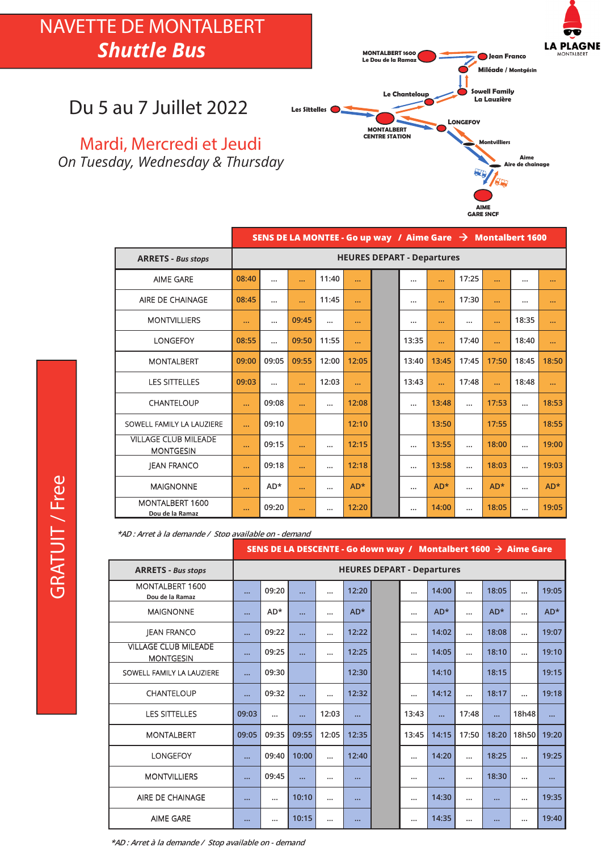# NAVETTE DE MONTALBERT *Shuttle Bus*



#### Du 5 au 7 Juillet 2022

Mardi, Mercredi et Jeudi *On Tuesday, Wednesday & Thursday*

|                                                 | SENS DE LA MONTEE - Go up way / Aime Gare $\rightarrow$ Montalbert 1600 |                                   |           |          |           |  |           |          |          |           |          |           |  |  |
|-------------------------------------------------|-------------------------------------------------------------------------|-----------------------------------|-----------|----------|-----------|--|-----------|----------|----------|-----------|----------|-----------|--|--|
| <b>ARRETS - Bus stops</b>                       |                                                                         | <b>HEURES DEPART - Departures</b> |           |          |           |  |           |          |          |           |          |           |  |  |
| <b>AIME GARE</b>                                | 08:40                                                                   |                                   | $\ddotsc$ | 11:40    | $\ddotsc$ |  |           |          | 17:25    |           |          | $\cdots$  |  |  |
| AIRE DE CHAINAGE                                | 08:45                                                                   |                                   | $\ddotsc$ | 11:45    | $\cdots$  |  |           |          | 17:30    | $\ddotsc$ |          | $\cdots$  |  |  |
| <b>MONTVILLIERS</b>                             | $\cdots$                                                                | $\cdots$                          | 09:45     |          | $\cdots$  |  |           | $\cdots$ | $\cdots$ | $\cdots$  | 18:35    | $\cdots$  |  |  |
| <b>LONGEFOY</b>                                 | 08:55                                                                   |                                   | 09:50     | 11:55    | $\ddotsc$ |  | 13:35     |          | 17:40    |           | 18:40    | $\ddotsc$ |  |  |
| <b>MONTALBERT</b>                               | 09:00                                                                   | 09:05                             | 09:55     | 12:00    | 12:05     |  | 13:40     | 13:45    | 17:45    | 17:50     | 18:45    | 18:50     |  |  |
| <b>LES SITTELLES</b>                            | 09:03                                                                   |                                   | $\cdots$  | 12:03    | $\cdots$  |  | 13:43     |          | 17:48    |           | 18:48    | $\cdots$  |  |  |
| <b>CHANTELOUP</b>                               | $\ddotsc$                                                               | 09:08                             | $\ddotsc$ | $\cdots$ | 12:08     |  |           | 13:48    | $\cdots$ | 17:53     | $\cdots$ | 18:53     |  |  |
| SOWELL FAMILY LA LAUZIERE                       | $\ddotsc$                                                               | 09:10                             |           |          | 12:10     |  |           | 13:50    |          | 17:55     |          | 18:55     |  |  |
| <b>VILLAGE CLUB MILEADE</b><br><b>MONTGESIN</b> | $\cdots$                                                                | 09:15                             | $\ddotsc$ | $\cdots$ | 12:15     |  | $\cdots$  | 13:55    | $\cdots$ | 18:00     | $\cdots$ | 19:00     |  |  |
| <b>IEAN FRANCO</b>                              | $\cdots$                                                                | 09:18                             | $\cdots$  |          | 12:18     |  |           | 13:58    | $\cdots$ | 18:03     | $\cdots$ | 19:03     |  |  |
| <b>MAIGNONNE</b>                                | $\ddotsc$                                                               | $AD*$                             | $\ddotsc$ | $\cdots$ | $AD*$     |  | $\ddotsc$ | $AD*$    | $\cdots$ | $AD*$     | $\cdots$ | $AD*$     |  |  |
| <b>MONTALBERT 1600</b><br>Dou de la Ramaz       | $\cdots$                                                                | 09:20                             | $\cdots$  |          | 12:20     |  |           | 14:00    | $\cdots$ | 18:05     | $\cdots$ | 19:05     |  |  |

**\*AD : Arret à la demande / Stop available on - demand** 

|                                                 | SENS DE LA DESCENTE - Go down way / Montalbert 1600 $\rightarrow$ Aime Gare |                                   |           |          |           |  |          |           |           |       |           |           |  |
|-------------------------------------------------|-----------------------------------------------------------------------------|-----------------------------------|-----------|----------|-----------|--|----------|-----------|-----------|-------|-----------|-----------|--|
| <b>ARRETS - Bus stops</b>                       |                                                                             | <b>HEURES DEPART - Departures</b> |           |          |           |  |          |           |           |       |           |           |  |
| MONTALBERT 1600<br>Dou de la Ramaz              |                                                                             | 09:20                             |           |          | 12:20     |  | $\cdots$ | 14:00     | $\cdots$  | 18:05 | $\ddotsc$ | 19:05     |  |
| <b>MAIGNONNE</b>                                |                                                                             | $AD*$                             |           | $\cdots$ | $AD*$     |  |          | $AD*$     |           | $AD*$ |           | $AD*$     |  |
| <b>JEAN FRANCO</b>                              |                                                                             | 09:22                             |           | $\cdots$ | 12:22     |  | $\cdots$ | 14:02     | $\cdots$  | 18:08 | $\cdots$  | 19:07     |  |
| <b>VILLAGE CLUB MILEADE</b><br><b>MONTGESIN</b> | $\cdots$                                                                    | 09:25                             | $\ddotsc$ |          | 12:25     |  |          | 14:05     |           | 18:10 | $\cdots$  | 19:10     |  |
| SOWELL FAMILY LA LAUZIERE                       | $\ddotsc$                                                                   | 09:30                             |           |          | 12:30     |  |          | 14:10     |           | 18:15 |           | 19:15     |  |
| <b>CHANTELOUP</b>                               |                                                                             | 09:32                             |           | $\cdots$ | 12:32     |  | $\cdots$ | 14:12     | $\ddotsc$ | 18:17 | $\ddotsc$ | 19:18     |  |
| <b>LES SITTELLES</b>                            | 09:03                                                                       | $\cdots$                          |           | 12:03    | $\ddotsc$ |  | 13:43    | $\ddotsc$ | 17:48     |       | 18h48     | $\ddotsc$ |  |
| <b>MONTALBERT</b>                               | 09:05                                                                       | 09:35                             | 09:55     | 12:05    | 12:35     |  | 13:45    | 14:15     | 17:50     | 18:20 | 18h50     | 19:20     |  |
| <b>LONGEFOY</b>                                 |                                                                             | 09:40                             | 10:00     | $\cdots$ | 12:40     |  | $\cdots$ | 14:20     | $\cdots$  | 18:25 | $\cdots$  | 19:25     |  |
| <b>MONTVILLIERS</b>                             |                                                                             | 09:45                             | $\ddotsc$ | $\cdots$ | $\cdots$  |  | $\cdots$ | $\cdots$  | $\ddotsc$ | 18:30 | $\cdots$  | $\cdots$  |  |
| AIRE DE CHAINAGE                                |                                                                             |                                   | 10:10     |          |           |  |          | 14:30     |           |       | $\cdots$  | 19:35     |  |
| <b>AIME GARE</b>                                | $\cdots$                                                                    |                                   | 10:15     |          | $\cdots$  |  |          | 14:35     | $\cdots$  |       |           | 19:40     |  |

**\*AD : Arret à la demande / Stop available on - demand**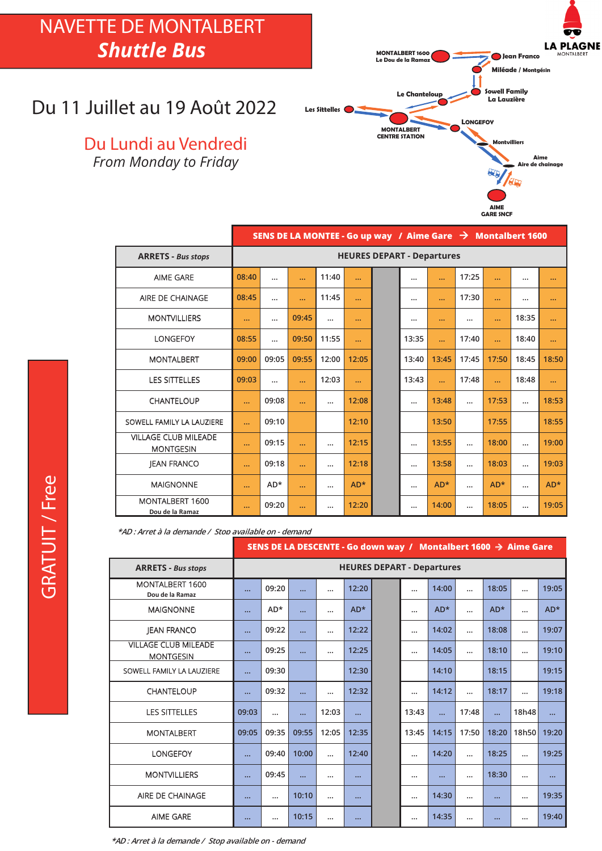## NAVETTE DE MONTALBERT *Shuttle Bus*

#### Du 11 Juillet au 19 Août 2022

Du Lundi au Vendredi *From Monday to Friday*



|                                                 | SENS DE LA MONTEE - Go up way / Aime Gare $\rightarrow$ Montalbert 1600 |                                   |           |           |       |  |           |           |          |           |          |           |  |
|-------------------------------------------------|-------------------------------------------------------------------------|-----------------------------------|-----------|-----------|-------|--|-----------|-----------|----------|-----------|----------|-----------|--|
| <b>ARRETS - Bus stops</b>                       |                                                                         | <b>HEURES DEPART - Departures</b> |           |           |       |  |           |           |          |           |          |           |  |
| <b>AIME GARE</b>                                | 08:40                                                                   | $\cdots$                          | $\ddotsc$ | 11:40     |       |  | $\cdots$  |           | 17:25    | $\ddotsc$ | $\cdots$ | $\cdots$  |  |
| AIRE DE CHAINAGE                                | 08:45                                                                   | $\cdots$                          | $\ddotsc$ | 11:45     |       |  |           | $\ddotsc$ | 17:30    | $\ddotsc$ |          | $\cdots$  |  |
| <b>MONTVILLIERS</b>                             | $\cdots$                                                                |                                   | 09:45     | $\cdots$  |       |  |           | $\cdots$  |          |           | 18:35    | $\cdots$  |  |
| <b>LONGEFOY</b>                                 | 08:55                                                                   | $\ddotsc$                         | 09:50     | 11:55     |       |  | 13:35     | $\ddotsc$ | 17:40    |           | 18:40    | $\ddotsc$ |  |
| <b>MONTALBERT</b>                               | 09:00                                                                   | 09:05                             | 09:55     | 12:00     | 12:05 |  | 13:40     | 13:45     | 17:45    | 17:50     | 18:45    | 18:50     |  |
| <b>LES SITTELLES</b>                            | 09:03                                                                   | $\cdots$                          | $\cdots$  | 12:03     |       |  | 13:43     |           | 17:48    | $\ddotsc$ | 18:48    | $\ddotsc$ |  |
| CHANTELOUP                                      | $\cdots$                                                                | 09:08                             | $\cdots$  | $\cdots$  | 12:08 |  |           | 13:48     |          | 17:53     |          | 18:53     |  |
| SOWELL FAMILY LA LAUZIERE                       | $\ddotsc$                                                               | 09:10                             |           |           | 12:10 |  |           | 13:50     |          | 17:55     |          | 18:55     |  |
| <b>VILLAGE CLUB MILEADE</b><br><b>MONTGESIN</b> | $\ddotsc$                                                               | 09:15                             |           | $\cdots$  | 12:15 |  |           | 13:55     | $\cdots$ | 18:00     |          | 19:00     |  |
| <b>JEAN FRANCO</b>                              | $\cdots$                                                                | 09:18                             | $\ddotsc$ | $\ddotsc$ | 12:18 |  | $\ddotsc$ | 13:58     | $\cdots$ | 18:03     | $\cdots$ | 19:03     |  |
| <b>MAIGNONNE</b>                                | $\ddotsc$                                                               | AD*                               | $\cdots$  | $\cdots$  | $AD*$ |  | $\ddotsc$ | $AD*$     | $\cdots$ | $AD*$     | $\cdots$ | $AD*$     |  |
| MONTALBERT 1600<br>Dou de la Ramaz              | $\cdots$                                                                | 09:20                             | $\cdots$  | $\cdots$  | 12:20 |  |           | 14:00     |          | 18:05     |          | 19:05     |  |

**\*AD : Arret à la demande / Stop available on - demand** 

|                                                 |          |                                   |       |          |          | SENS DE LA DESCENTE - Go down way / Montalbert 1600 $\rightarrow$ Aime Gare |          |           |            |          |            |       |  |  |
|-------------------------------------------------|----------|-----------------------------------|-------|----------|----------|-----------------------------------------------------------------------------|----------|-----------|------------|----------|------------|-------|--|--|
| <b>ARRETS - Bus stops</b>                       |          | <b>HEURES DEPART - Departures</b> |       |          |          |                                                                             |          |           |            |          |            |       |  |  |
| MONTALBERT 1600<br>Dou de la Ramaz              |          | 09:20                             |       | $\cdots$ | 12:20    |                                                                             |          | 14:00     |            | 18:05    |            | 19:05 |  |  |
| <b>MAIGNONNE</b>                                |          | AD*                               |       | $\cdots$ | $AD*$    |                                                                             |          | $AD*$     |            | $AD*$    |            | $AD*$ |  |  |
| <b>JEAN FRANCO</b>                              |          | 09:22                             |       | $\cdots$ | 12:22    |                                                                             | $\cdots$ | 14:02     | $\ddotsc$  | 18:08    |            | 19:07 |  |  |
| <b>VILLAGE CLUB MILEADE</b><br><b>MONTGESIN</b> |          | 09:25                             |       |          | 12:25    |                                                                             | $\cdots$ | 14:05     |            | 18:10    |            | 19:10 |  |  |
| SOWELL FAMILY LA LAUZIERE                       |          | 09:30                             |       |          | 12:30    |                                                                             |          | 14:10     |            | 18:15    |            | 19:15 |  |  |
| CHANTELOUP                                      |          | 09:32                             |       | $\cdots$ | 12:32    |                                                                             | $\cdots$ | 14:12     | $\dddotsc$ | 18:17    | $\dddotsc$ | 19:18 |  |  |
| <b>LES SITTELLES</b>                            | 09:03    |                                   |       | 12:03    | $\cdots$ |                                                                             | 13:43    | $\ddotsc$ | 17:48      |          | 18h48      |       |  |  |
| <b>MONTALBERT</b>                               | 09:05    | 09:35                             | 09:55 | 12:05    | 12:35    |                                                                             | 13:45    | 14:15     | 17:50      | 18:20    | 18h50      | 19:20 |  |  |
| <b>LONGEFOY</b>                                 |          | 09:40                             | 10:00 | $\cdots$ | 12:40    |                                                                             | $\cdots$ | 14:20     |            | 18:25    |            | 19:25 |  |  |
| <b>MONTVILLIERS</b>                             |          | 09:45                             |       |          |          |                                                                             |          |           |            | 18:30    |            |       |  |  |
| AIRE DE CHAINAGE                                | $\cdots$ |                                   | 10:10 | $\cdots$ | $\cdots$ |                                                                             | $\cdots$ | 14:30     | $\cdots$   | $\cdots$ |            | 19:35 |  |  |
| <b>AIME GARE</b>                                |          |                                   | 10:15 |          | $\cdots$ |                                                                             | $\cdots$ | 14:35     |            |          |            | 19:40 |  |  |

**\*AD : Arret à la demande / Stop available on - demand**